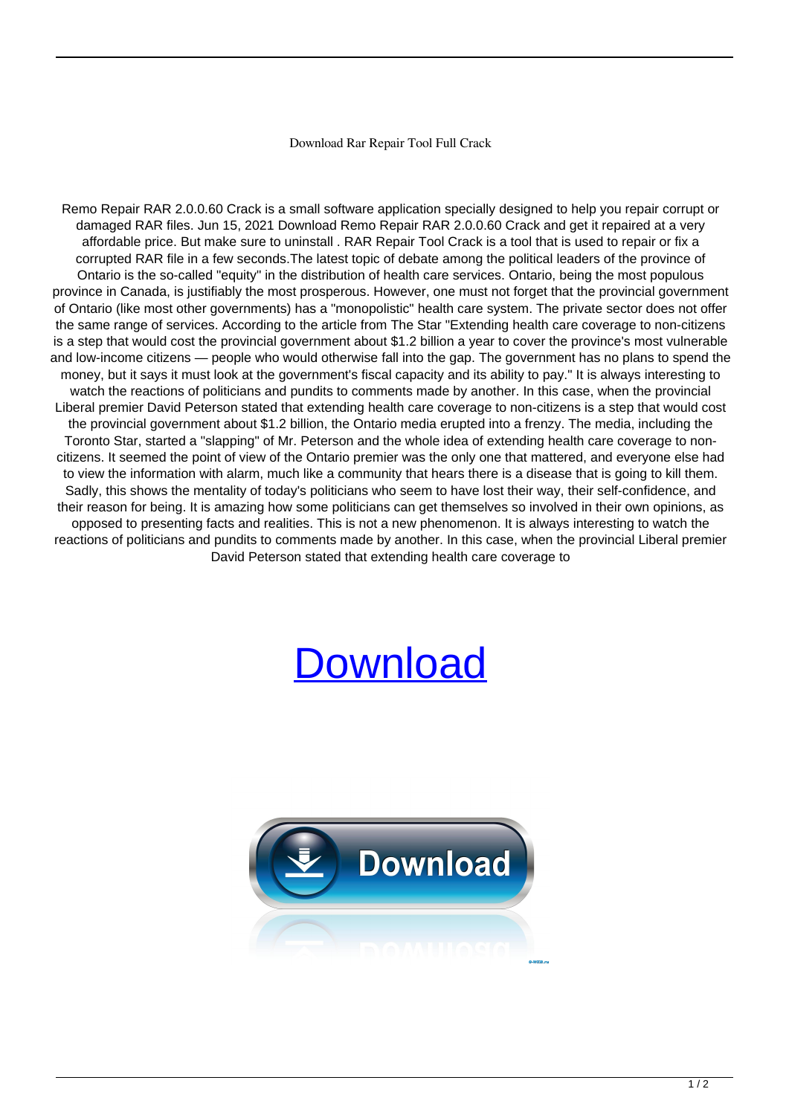## Download Rar Repair Tool Full Crack

Remo Repair RAR 2.0.0.60 Crack is a small software application specially designed to help you repair corrupt or damaged RAR files. Jun 15, 2021 Download Remo Repair RAR 2.0.0.60 Crack and get it repaired at a very affordable price. But make sure to uninstall . RAR Repair Tool Crack is a tool that is used to repair or fix a corrupted RAR file in a few seconds.The latest topic of debate among the political leaders of the province of Ontario is the so-called "equity" in the distribution of health care services. Ontario, being the most populous province in Canada, is justifiably the most prosperous. However, one must not forget that the provincial government of Ontario (like most other governments) has a "monopolistic" health care system. The private sector does not offer the same range of services. According to the article from The Star "Extending health care coverage to non-citizens is a step that would cost the provincial government about \$1.2 billion a year to cover the province's most vulnerable and low-income citizens — people who would otherwise fall into the gap. The government has no plans to spend the money, but it says it must look at the government's fiscal capacity and its ability to pay." It is always interesting to watch the reactions of politicians and pundits to comments made by another. In this case, when the provincial Liberal premier David Peterson stated that extending health care coverage to non-citizens is a step that would cost the provincial government about \$1.2 billion, the Ontario media erupted into a frenzy. The media, including the Toronto Star, started a "slapping" of Mr. Peterson and the whole idea of extending health care coverage to noncitizens. It seemed the point of view of the Ontario premier was the only one that mattered, and everyone else had to view the information with alarm, much like a community that hears there is a disease that is going to kill them. Sadly, this shows the mentality of today's politicians who seem to have lost their way, their self-confidence, and their reason for being. It is amazing how some politicians can get themselves so involved in their own opinions, as opposed to presenting facts and realities. This is not a new phenomenon. It is always interesting to watch the reactions of politicians and pundits to comments made by another. In this case, when the provincial Liberal premier David Peterson stated that extending health care coverage to

## [Download](http://evacdir.com/?ZG93bmxvYWR8aEUzTW1WNFlYeDhNVFkxTWpjME1EZzJObng4TWpVM05IeDhLRTBwSUhKbFlXUXRZbXh2WnlCYlJtRnpkQ0JIUlU1ZA&federated=heisman&curses=pans&binocular=ZG93bmxvYWQgcmFyIHJlcGFpciB0b29sIGZ1bGwgY3JhY2sZG9)